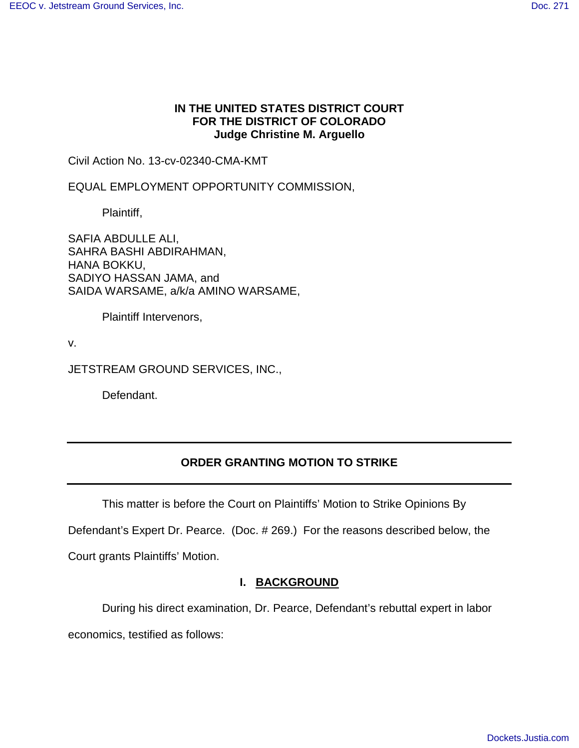## **IN THE UNITED STATES DISTRICT COURT FOR THE DISTRICT OF COLORADO Judge Christine M. Arguello**

Civil Action No. 13-cv-02340-CMA-KMT

EQUAL EMPLOYMENT OPPORTUNITY COMMISSION,

Plaintiff,

SAFIA ABDULLE ALI, SAHRA BASHI ABDIRAHMAN, HANA BOKKU, SADIYO HASSAN JAMA, and SAIDA WARSAME, a/k/a AMINO WARSAME,

Plaintiff Intervenors,

v.

JETSTREAM GROUND SERVICES, INC.,

Defendant.

## **ORDER GRANTING MOTION TO STRIKE**

This matter is before the Court on Plaintiffs' Motion to Strike Opinions By

Defendant's Expert Dr. Pearce. (Doc. # 269.) For the reasons described below, the

Court grants Plaintiffs' Motion.

## **I. BACKGROUND**

During his direct examination, Dr. Pearce, Defendant's rebuttal expert in labor

economics, testified as follows: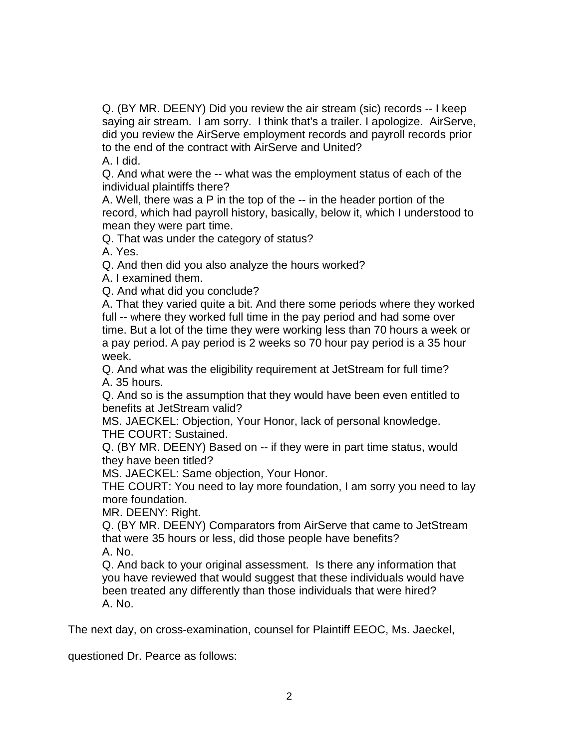Q. (BY MR. DEENY) Did you review the air stream (sic) records -- I keep saying air stream. I am sorry. I think that's a trailer. I apologize. AirServe, did you review the AirServe employment records and payroll records prior to the end of the contract with AirServe and United?

A. I did.

Q. And what were the -- what was the employment status of each of the individual plaintiffs there?

A. Well, there was a P in the top of the -- in the header portion of the record, which had payroll history, basically, below it, which I understood to mean they were part time.

Q. That was under the category of status?

A. Yes.

Q. And then did you also analyze the hours worked?

A. I examined them.

Q. And what did you conclude?

A. That they varied quite a bit. And there some periods where they worked full -- where they worked full time in the pay period and had some over time. But a lot of the time they were working less than 70 hours a week or a pay period. A pay period is 2 weeks so 70 hour pay period is a 35 hour week.

Q. And what was the eligibility requirement at JetStream for full time? A. 35 hours.

Q. And so is the assumption that they would have been even entitled to benefits at JetStream valid?

MS. JAECKEL: Objection, Your Honor, lack of personal knowledge. THE COURT: Sustained.

Q. (BY MR. DEENY) Based on -- if they were in part time status, would they have been titled?

MS. JAECKEL: Same objection, Your Honor.

THE COURT: You need to lay more foundation, I am sorry you need to lay more foundation.

MR. DEENY: Right.

Q. (BY MR. DEENY) Comparators from AirServe that came to JetStream that were 35 hours or less, did those people have benefits? A. No.

Q. And back to your original assessment. Is there any information that you have reviewed that would suggest that these individuals would have been treated any differently than those individuals that were hired? A. No.

The next day, on cross-examination, counsel for Plaintiff EEOC, Ms. Jaeckel,

questioned Dr. Pearce as follows: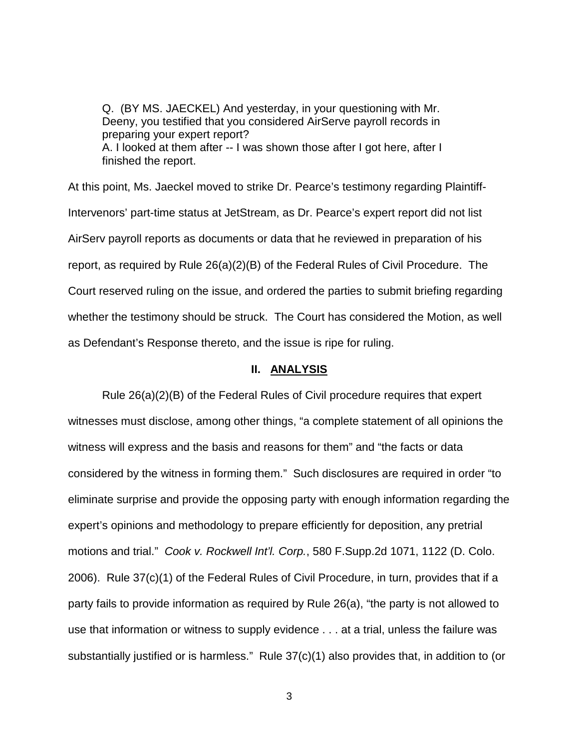Q. (BY MS. JAECKEL) And yesterday, in your questioning with Mr. Deeny, you testified that you considered AirServe payroll records in preparing your expert report? A. I looked at them after -- I was shown those after I got here, after I finished the report.

At this point, Ms. Jaeckel moved to strike Dr. Pearce's testimony regarding Plaintiff-Intervenors' part-time status at JetStream, as Dr. Pearce's expert report did not list AirServ payroll reports as documents or data that he reviewed in preparation of his report, as required by Rule 26(a)(2)(B) of the Federal Rules of Civil Procedure. The Court reserved ruling on the issue, and ordered the parties to submit briefing regarding whether the testimony should be struck. The Court has considered the Motion, as well as Defendant's Response thereto, and the issue is ripe for ruling.

## **II. ANALYSIS**

Rule 26(a)(2)(B) of the Federal Rules of Civil procedure requires that expert witnesses must disclose, among other things, "a complete statement of all opinions the witness will express and the basis and reasons for them" and "the facts or data considered by the witness in forming them." Such disclosures are required in order "to eliminate surprise and provide the opposing party with enough information regarding the expert's opinions and methodology to prepare efficiently for deposition, any pretrial motions and trial." Cook v. Rockwell Int'l. Corp., 580 F.Supp.2d 1071, 1122 (D. Colo. 2006). Rule 37(c)(1) of the Federal Rules of Civil Procedure, in turn, provides that if a party fails to provide information as required by Rule 26(a), "the party is not allowed to use that information or witness to supply evidence . . . at a trial, unless the failure was substantially justified or is harmless." Rule 37(c)(1) also provides that, in addition to (or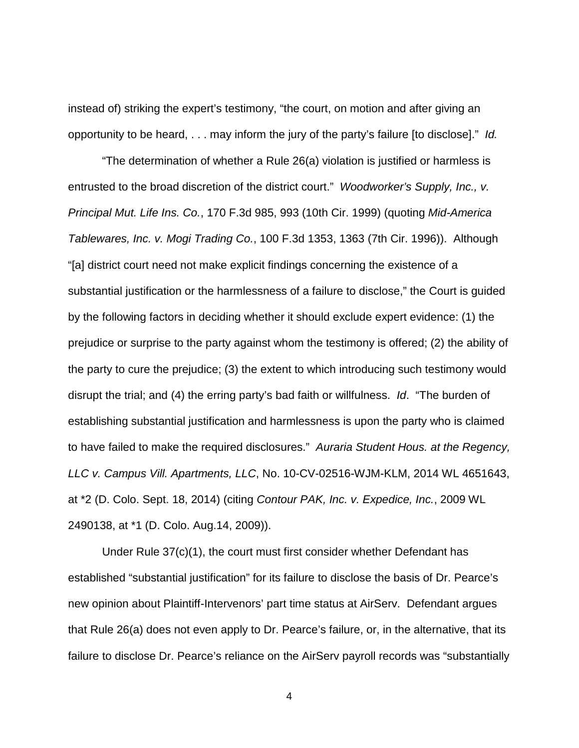instead of) striking the expert's testimony, "the court, on motion and after giving an opportunity to be heard, . . . may inform the jury of the party's failure [to disclose]." Id.

"The determination of whether a Rule 26(a) violation is justified or harmless is entrusted to the broad discretion of the district court." Woodworker's Supply, Inc., v. Principal Mut. Life Ins. Co., 170 F.3d 985, 993 (10th Cir. 1999) (quoting Mid-America Tablewares, Inc. v. Mogi Trading Co., 100 F.3d 1353, 1363 (7th Cir. 1996)). Although "[a] district court need not make explicit findings concerning the existence of a substantial justification or the harmlessness of a failure to disclose," the Court is guided by the following factors in deciding whether it should exclude expert evidence: (1) the prejudice or surprise to the party against whom the testimony is offered; (2) the ability of the party to cure the prejudice; (3) the extent to which introducing such testimony would disrupt the trial; and (4) the erring party's bad faith or willfulness. Id. "The burden of establishing substantial justification and harmlessness is upon the party who is claimed to have failed to make the required disclosures." Auraria Student Hous. at the Regency, LLC v. Campus Vill. Apartments, LLC, No. 10-CV-02516-WJM-KLM, 2014 WL 4651643, at \*2 (D. Colo. Sept. 18, 2014) (citing Contour PAK, Inc. v. Expedice, Inc., 2009 WL 2490138, at \*1 (D. Colo. Aug.14, 2009)).

Under Rule 37(c)(1), the court must first consider whether Defendant has established "substantial justification" for its failure to disclose the basis of Dr. Pearce's new opinion about Plaintiff-Intervenors' part time status at AirServ. Defendant argues that Rule 26(a) does not even apply to Dr. Pearce's failure, or, in the alternative, that its failure to disclose Dr. Pearce's reliance on the AirServ payroll records was "substantially

4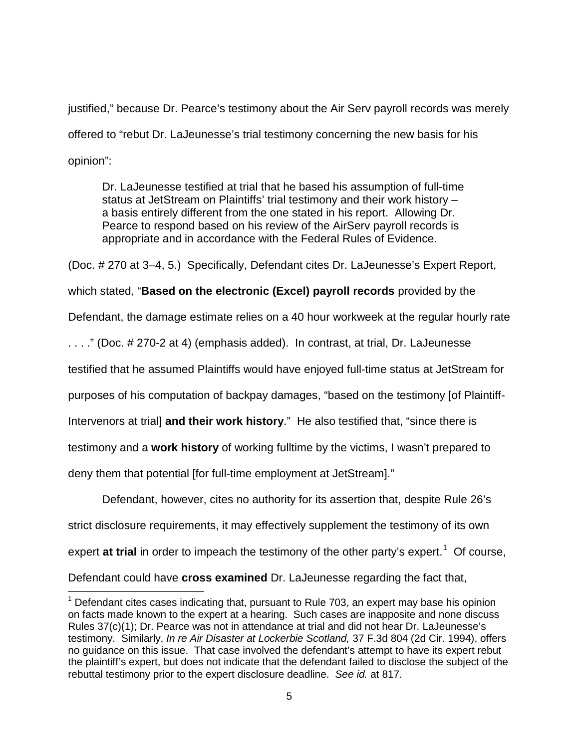justified," because Dr. Pearce's testimony about the Air Serv payroll records was merely offered to "rebut Dr. LaJeunesse's trial testimony concerning the new basis for his opinion":

Dr. LaJeunesse testified at trial that he based his assumption of full-time status at JetStream on Plaintiffs' trial testimony and their work history – a basis entirely different from the one stated in his report. Allowing Dr. Pearce to respond based on his review of the AirServ payroll records is appropriate and in accordance with the Federal Rules of Evidence.

(Doc. # 270 at 3–4, 5.) Specifically, Defendant cites Dr. LaJeunesse's Expert Report,

which stated, "**Based on the electronic (Excel) payroll records** provided by the

Defendant, the damage estimate relies on a 40 hour workweek at the regular hourly rate

. . . ." (Doc. # 270-2 at 4) (emphasis added). In contrast, at trial, Dr. LaJeunesse

testified that he assumed Plaintiffs would have enjoyed full-time status at JetStream for

purposes of his computation of backpay damages, "based on the testimony [of Plaintiff-

Intervenors at trial] **and their work history**." He also testified that, "since there is

testimony and a **work history** of working fulltime by the victims, I wasn't prepared to

deny them that potential [for full-time employment at JetStream]."

 $\overline{a}$ 

Defendant, however, cites no authority for its assertion that, despite Rule 26's strict disclosure requirements, it may effectively supplement the testimony of its own expert **at trial** in order to impeach the testimony of the other party's expert.<sup>[1](#page-4-0)</sup> Of course, Defendant could have **cross examined** Dr. LaJeunesse regarding the fact that,

<span id="page-4-0"></span> $<sup>1</sup>$  Defendant cites cases indicating that, pursuant to Rule 703, an expert may base his opinion</sup> on facts made known to the expert at a hearing. Such cases are inapposite and none discuss Rules 37(c)(1); Dr. Pearce was not in attendance at trial and did not hear Dr. LaJeunesse's testimony. Similarly, In re Air Disaster at Lockerbie Scotland, 37 F.3d 804 (2d Cir. 1994), offers no guidance on this issue. That case involved the defendant's attempt to have its expert rebut the plaintiff's expert, but does not indicate that the defendant failed to disclose the subject of the rebuttal testimony prior to the expert disclosure deadline. See id. at 817.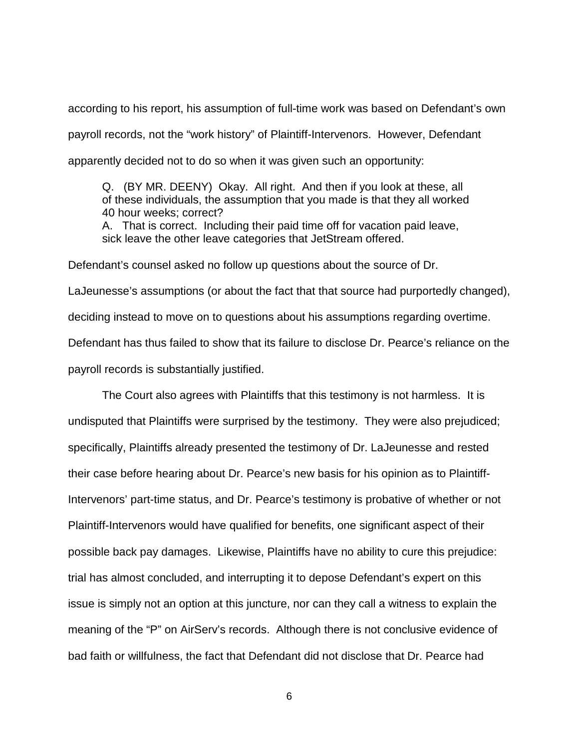according to his report, his assumption of full-time work was based on Defendant's own payroll records, not the "work history" of Plaintiff-Intervenors. However, Defendant apparently decided not to do so when it was given such an opportunity:

Q. (BY MR. DEENY) Okay. All right. And then if you look at these, all of these individuals, the assumption that you made is that they all worked 40 hour weeks; correct? A. That is correct. Including their paid time off for vacation paid leave,

sick leave the other leave categories that JetStream offered.

Defendant's counsel asked no follow up questions about the source of Dr.

LaJeunesse's assumptions (or about the fact that that source had purportedly changed),

deciding instead to move on to questions about his assumptions regarding overtime.

Defendant has thus failed to show that its failure to disclose Dr. Pearce's reliance on the payroll records is substantially justified.

The Court also agrees with Plaintiffs that this testimony is not harmless. It is undisputed that Plaintiffs were surprised by the testimony. They were also prejudiced; specifically, Plaintiffs already presented the testimony of Dr. LaJeunesse and rested their case before hearing about Dr. Pearce's new basis for his opinion as to Plaintiff-Intervenors' part-time status, and Dr. Pearce's testimony is probative of whether or not Plaintiff-Intervenors would have qualified for benefits, one significant aspect of their possible back pay damages. Likewise, Plaintiffs have no ability to cure this prejudice: trial has almost concluded, and interrupting it to depose Defendant's expert on this issue is simply not an option at this juncture, nor can they call a witness to explain the meaning of the "P" on AirServ's records. Although there is not conclusive evidence of bad faith or willfulness, the fact that Defendant did not disclose that Dr. Pearce had